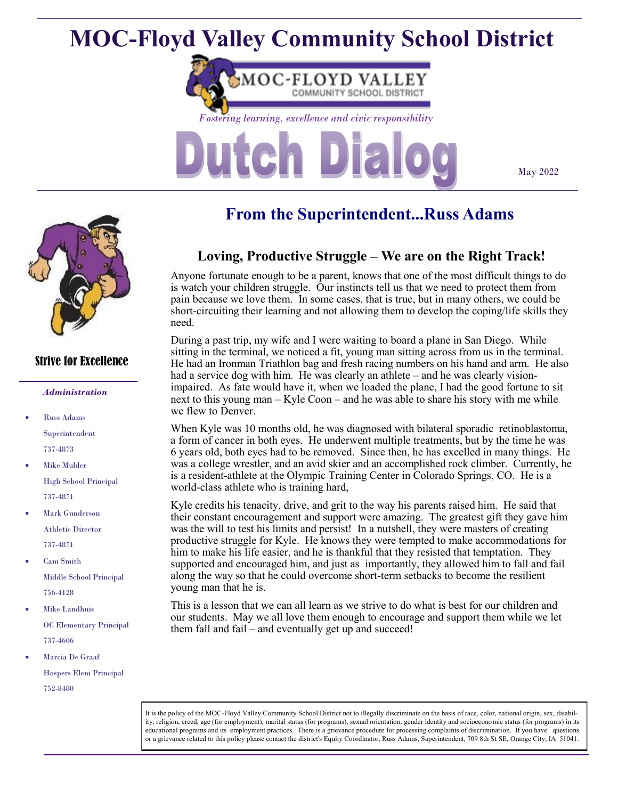# **MOC-Floyd Valley Community School District**



May 2022



### Strive for Excellence

#### *Administration*

- Russ Adams Superintendent 737-4873
- **Mike Mulder** High School Principal 737-4871
- **Mark Gunderson** Athletic Director 737-4871
- Cam Smith Middle School Principal 756-4128
- Mike Landhuis OC Elementary Principal 737-4606
- Marcia De Graaf Hospers Elem Principal 752-8480

# **From the Superintendent...Russ Adams**

# **Loving, Productive Struggle – We are on the Right Track!**

Anyone fortunate enough to be a parent, knows that one of the most difficult things to do is watch your children struggle. Our instincts tell us that we need to protect them from pain because we love them. In some cases, that is true, but in many others, we could be short-circuiting their learning and not allowing them to develop the coping/life skills they need.

During a past trip, my wife and I were waiting to board a plane in San Diego. While sitting in the terminal, we noticed a fit, young man sitting across from us in the terminal. He had an Ironman Triathlon bag and fresh racing numbers on his hand and arm. He also had a service dog with him. He was clearly an athlete – and he was clearly visionimpaired. As fate would have it, when we loaded the plane, I had the good fortune to sit next to this young man – Kyle Coon – and he was able to share his story with me while we flew to Denver.

When Kyle was 10 months old, he was diagnosed with bilateral sporadic retinoblastoma, a form of cancer in both eyes. He underwent multiple treatments, but by the time he was 6 years old, both eyes had to be removed. Since then, he has excelled in many things. He was a college wrestler, and an avid skier and an accomplished rock climber. Currently, he is a resident-athlete at the Olympic Training Center in Colorado Springs, CO. He is a world-class athlete who is training hard,

Kyle credits his tenacity, drive, and grit to the way his parents raised him. He said that their constant encouragement and support were amazing. The greatest gift they gave him was the will to test his limits and persist! In a nutshell, they were masters of creating productive struggle for Kyle. He knows they were tempted to make accommodations for him to make his life easier, and he is thankful that they resisted that temptation. They supported and encouraged him, and just as importantly, they allowed him to fall and fail along the way so that he could overcome short-term setbacks to become the resilient young man that he is.

This is a lesson that we can all learn as we strive to do what is best for our children and our students. May we all love them enough to encourage and support them while we let them fall and fail – and eventually get up and succeed!

It is the policy of the MOC-Floyd Valley Community School District not to illegally discriminate on the basis of race, color, national origin, sex, disability, religion, creed, age (for employment), marital status (for programs), sexual orientation, gender identity and socioeconomic status (for programs) in its educational programs and its employment practices. There is a grievance procedure for processing complaints of discrimination. If you have questions or a grievance related to this policy please contact the district's Equity Coordinator, Russ Adams, Superintendent, 709 8th St SE, Orange City, IA 51041.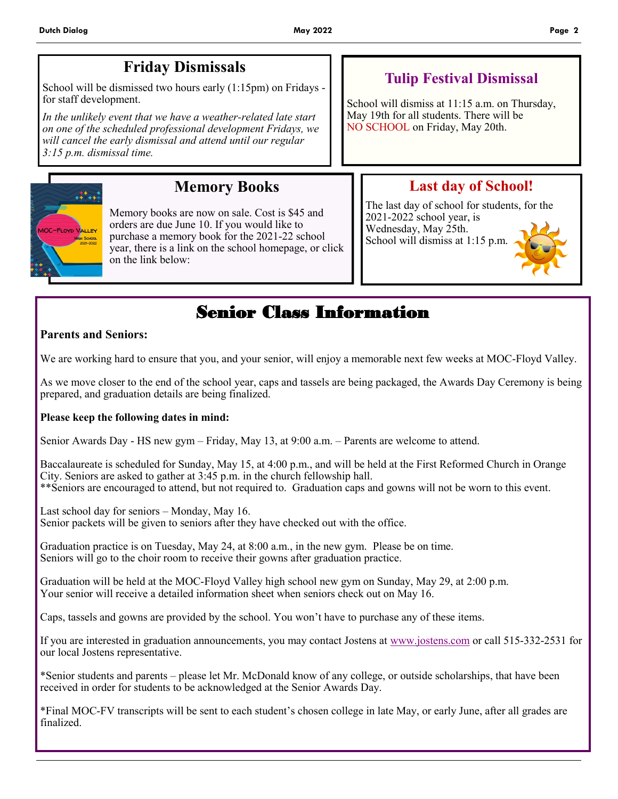# **Friday Dismissals**

School will be dismissed two hours early (1:15pm) on Fridays for staff development.

*In the unlikely event that we have a weather-related late start on one of the scheduled professional development Fridays, we will cancel the early dismissal and attend until our regular 3:15 p.m. dismissal time.*

## **Tulip Festival Dismissal**

School will dismiss at 11:15 a.m. on Thursday, May 19th for all students. There will be NO SCHOOL on Friday, May 20th.



# **Memory Books**

Memory books are now on sale. Cost is \$45 and orders are due June 10. If you would like to purchase a memory book for the 2021-22 school year, there is a link on the school homepage, or click on the link below:

# **Last day of School!**

The last day of school for students, for the 2021-2022 school year, is Wednesday, May 25th. School will dismiss at 1:15 p.m.



# Senior Class Information

### **Parents and Seniors:**

We are working hard to ensure that you, and your senior, will enjoy a memorable next few weeks at MOC-Floyd Valley.

As we move closer to the end of the school year, caps and tassels are being packaged, the Awards Day Ceremony is being prepared, and graduation details are being finalized.

### **Please keep the following dates in mind:**

Senior Awards Day - HS new gym – Friday, May 13, at 9:00 a.m. – Parents are welcome to attend.

Baccalaureate is scheduled for Sunday, May 15, at 4:00 p.m., and will be held at the First Reformed Church in Orange City. Seniors are asked to gather at 3:45 p.m. in the church fellowship hall. \*\*Seniors are encouraged to attend, but not required to. Graduation caps and gowns will not be worn to this event.

Last school day for seniors – Monday, May 16. Senior packets will be given to seniors after they have checked out with the office.

Graduation practice is on Tuesday, May 24, at 8:00 a.m., in the new gym. Please be on time. Seniors will go to the choir room to receive their gowns after graduation practice.

Graduation will be held at the MOC-Floyd Valley high school new gym on Sunday, May 29, at 2:00 p.m. Your senior will receive a detailed information sheet when seniors check out on May 16.

Caps, tassels and gowns are provided by the school. You won't have to purchase any of these items.

If you are interested in graduation announcements, you may contact Jostens at [www.jostens.com](http://www.jostens.com) or call 515-332-2531 for our local Jostens representative.

\*Senior students and parents – please let Mr. McDonald know of any college, or outside scholarships, that have been received in order for students to be acknowledged at the Senior Awards Day.

\*Final MOC-FV transcripts will be sent to each student's chosen college in late May, or early June, after all grades are finalized.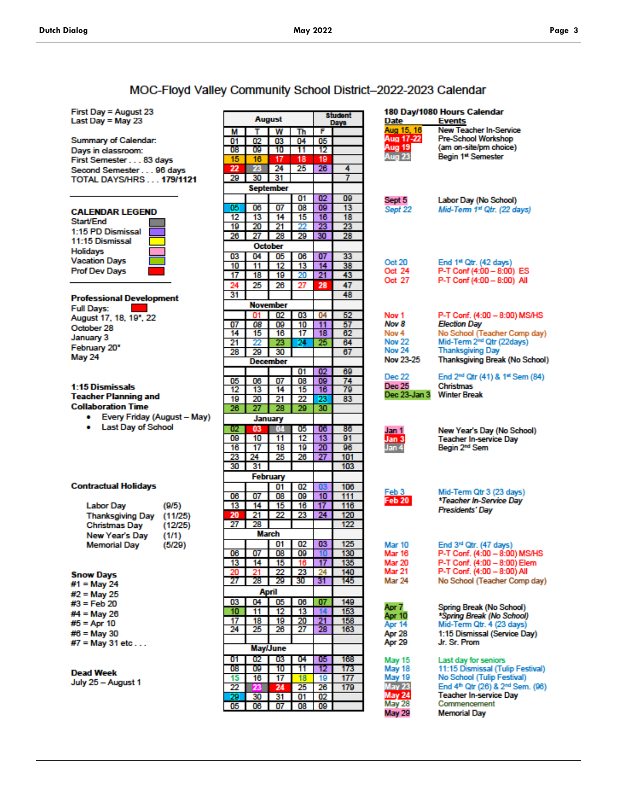### MOC-Floyd Valley Community School District-2022-2023 Calendar

First Day = August 23 Last Day = May 23

**Summary of Calendar:** Days in classroom: First Semester . . . 83 days Second Semester... 96 days **TOTAL DAYS/HRS... 179/1121** 

#### **CALENDAR LEGEND**

Start/End 1:15 PD Dismissal 11:15 Dismissal Holidays **Vacation Days Prof Dev Days** 

#### **Professional Development**

**Full Days:** August 17, 18, 19', 22 October 28 January 3 February 20\* May 24

#### 1:15 Dismissals **Teacher Planning and Collaboration Time**

- Every Friday (August May)
- Last Day of School

#### **Contractual Holidays**

#### **Snow Days**

| #1 = May 24 |  |
|-------------|--|
| #2 = May 25 |  |
| #3 = Feb 20 |  |
| #4 = May 26 |  |
| #5 = Apr 10 |  |
| #6 = May 30 |  |

#7 = May 31 etc...

#### **Dead Week**

July 25 - August 1

| <b>August</b>                 |    |                  |    | <b>Student</b><br>Days |     |
|-------------------------------|----|------------------|----|------------------------|-----|
| м                             | Т  | W                | Th | F                      |     |
| 01                            | 02 | 03               | 04 | 05                     |     |
| 08                            | O9 | 10               | 11 | 12                     |     |
| 15                            | 16 | 17               | 18 | 19                     |     |
| 22                            | 23 | 24               | 25 | 26                     | 4   |
| 29                            | 30 | 31               |    |                        | 7   |
|                               |    | <b>September</b> |    |                        |     |
|                               |    |                  | 01 | 02                     | 09  |
| 05                            | 06 | 07               | 08 | O9                     | 13  |
| 12                            | 13 | 14               | 15 |                        | 18  |
| 19                            | 20 | 21               | 22 | 16<br>23               | 23  |
| 26                            | 27 | 28               | 29 | 30                     | 28  |
|                               |    |                  |    |                        |     |
|                               |    | <b>October</b>   |    |                        |     |
| 03                            | 04 | 05               | 06 | 07                     | 33  |
| 10                            | 11 | 12               | 13 | 14                     | 38  |
| 17                            | 18 | 19               | 20 | 21                     | 43  |
| 24                            | 25 | 26               | 27 | 28                     | 47  |
| 31                            |    |                  |    |                        | 48  |
|                               |    | <b>November</b>  |    |                        |     |
|                               | m  | 02               | 03 | 04                     | 52  |
| 07                            | 08 | 09               | 10 | 11                     | 57  |
| 14                            | 15 | 16               | 17 | 18                     | 62  |
| 21                            |    | 23               | 24 | 25                     | 64  |
| 28                            | 29 | 30               |    |                        | 67  |
|                               |    | December         |    |                        |     |
|                               |    |                  | 01 | 02                     | 69  |
| 05                            | 06 | 07               | 08 | 09                     | 74  |
| 12                            | 13 | 14               | 15 | 16                     | 79  |
| 19                            | 20 | 21               | 22 | 23                     | 83  |
| 26                            | 27 | 28               | 29 | 30                     |     |
|                               |    | January          |    |                        |     |
| 02                            | 03 | 04               | 05 | 06                     | 86  |
| 09                            | 10 | 11               | 12 | 13                     | 91  |
| 16                            | 17 | 18               | 19 | 20                     | 96  |
| 23                            | 24 | 25               | 26 | 27                     | 101 |
| 30                            | 31 |                  |    |                        | 103 |
|                               |    | February         |    |                        |     |
|                               |    | 01               | 02 | 03                     | 106 |
| 06                            | 07 | 08               | 09 | 10                     | 111 |
| 13                            | 14 | 15               | 16 | 17                     | 116 |
| 20                            | 21 | 22               | 23 | 24                     | 120 |
| 27                            | 28 |                  |    |                        | 122 |
|                               |    | March            |    |                        |     |
|                               |    | 01               | 02 | 03                     | 125 |
| 06                            | 07 | 08               | 09 | 10                     | 130 |
| $\frac{13}{2}$                | 14 | 15               |    | 17                     | 135 |
| 20                            | 21 | 22               | 23 | 24                     | 140 |
| 27                            | 28 | 29               | 30 | 31                     | 145 |
|                               |    |                  |    |                        |     |
| April<br>05<br>06<br>03<br>04 |    |                  |    | 07                     | 149 |
| 10                            | 11 | 12               | 13 | 14                     | 153 |
| 17                            | 18 | 19               | 20 | 21                     | 158 |
| 24                            | 25 | 26               | 27 | 28                     | 163 |
|                               |    |                  |    |                        |     |
| <b>May/June</b>               |    |                  |    |                        |     |
|                               |    |                  |    |                        |     |
| 01                            | 02 | 03               | 04 | 05                     | 168 |
| 08                            | 09 | 10               | 11 | 12                     | 173 |
| 15                            | 16 | 17               | 18 | 19                     | 177 |
| 22                            |    | 24               | 25 | 26                     | 179 |
| 29                            | 30 | 31               | 01 | 02                     |     |
| 05                            | 06 | 07               | 08 | 09                     |     |

| Date<br>Aug 15, 16<br>Aug 17-22<br>Aug 19<br>Aug 23                                       | 180 Day/1080 Hours Calendar<br><b>Events</b><br><b>New Teacher In-Service</b><br><b>Pre-School Workshop</b><br>(am on-site/pm choice)<br>Begin 1st Semester                                        |
|-------------------------------------------------------------------------------------------|----------------------------------------------------------------------------------------------------------------------------------------------------------------------------------------------------|
| Sept 5                                                                                    | Labor Day (No School)                                                                                                                                                                              |
| Sept 22                                                                                   | Mid-Term 1st Qtr. (22 days)                                                                                                                                                                        |
| Oct 20                                                                                    | End 1 <sup>st</sup> Qtr. (42 days)                                                                                                                                                                 |
| Oct 24                                                                                    | P-T Conf (4:00 - 8:00) ES                                                                                                                                                                          |
| Oct 27                                                                                    | P-T Conf (4:00 - 8:00) All                                                                                                                                                                         |
| Nov 1<br>Nov 8<br>Nov <sub>4</sub><br>Nov <sub>22</sub><br>Nov <sub>24</sub><br>Nov 23-25 | P-T Conf. (4:00 - 8:00) MS/HS<br><b>Election Day</b><br>No School (Teacher Comp day)<br>Mid-Term 2 <sup>nd</sup> Qtr (22days)<br><b>Thanksgiving Day</b><br>Thanksgiving Break (No School)         |
| <b>Dec 22</b>                                                                             | End 2 <sup>nd</sup> Qtr (41) & 1 <sup>st</sup> Sem (84)                                                                                                                                            |
| <b>Dec 25</b>                                                                             | Christmas                                                                                                                                                                                          |
| Dec 23-Jan 3                                                                              | <b>Winter Break</b>                                                                                                                                                                                |
| Jan 1                                                                                     | New Year's Day (No School)                                                                                                                                                                         |
| Jan 3                                                                                     | <b>Teacher In-service Day</b>                                                                                                                                                                      |
| Jan 4                                                                                     | Begin 2 <sup>nd</sup> Sem                                                                                                                                                                          |
| Feb 3<br><b>Feb 20</b>                                                                    | Mid-Term Qtr 3 (23 days)<br>*Teacher In-Service Day<br>Presidents' Day                                                                                                                             |
| <b>Mar 10</b><br>Mar 16<br>Mar 20<br><b>Mar 21</b><br><b>Mar 24</b>                       | End 3rd Qtr. (47 days)<br>P-T Conf. (4:00 – 8:00) MS/HS<br>P-T Conf. (4:00 – 8:00) Elem<br>P-T Conf. (4:00 – 8:00) All<br>No School (Teacher Comp day)                                             |
| Apr 7                                                                                     | Spring Break (No School)                                                                                                                                                                           |
| Apr 10                                                                                    | *Spring Break (No School)                                                                                                                                                                          |
| Apr 14                                                                                    | Mid-Term Qtr. 4 (23 days)                                                                                                                                                                          |
| Apr 28                                                                                    | 1:15 Dismissal (Service Day)                                                                                                                                                                       |
| Apr 29                                                                                    | Jr. Sr. Prom                                                                                                                                                                                       |
| <b>May 15</b><br>May 18<br>May 19<br>May 23<br>May 24<br>May 28<br>May 29                 | Last day for seniors<br>11:15 Dismissal (Tulip Festival)<br>No School (Tulip Festival)<br>End 4th Qtr (26) & 2nd Sem. (96)<br><b>Teacher In-service Day</b><br>Commencement<br><b>Memorial Day</b> |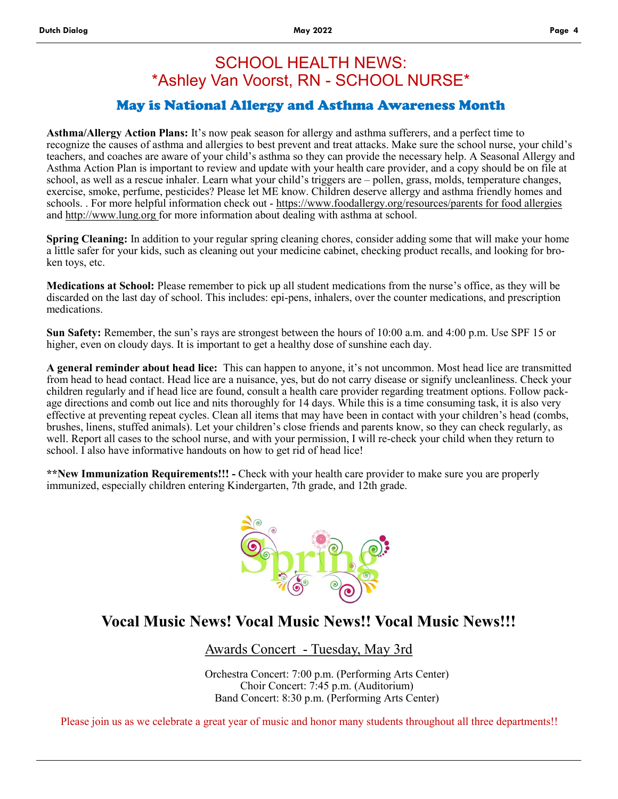## SCHOOL HEALTH NEWS: \*Ashley Van Voorst, RN - SCHOOL NURSE\*

### May is National Allergy and Asthma Awareness Month

**Asthma/Allergy Action Plans:** It's now peak season for allergy and asthma sufferers, and a perfect time to recognize the causes of asthma and allergies to best prevent and treat attacks. Make sure the school nurse, your child's teachers, and coaches are aware of your child's asthma so they can provide the necessary help. A Seasonal Allergy and Asthma Action Plan is important to review and update with your health care provider, and a copy should be on file at school, as well as a rescue inhaler. Learn what your child's triggers are – pollen, grass, molds, temperature changes, exercise, smoke, perfume, pesticides? Please let ME know. Children deserve allergy and asthma friendly homes and schools. . For more helpful information check out - https://www.foodallergy.org/resources/parents for food allergies and http://www.lung.org for more information about dealing with asthma at school.

**Spring Cleaning:** In addition to your regular spring cleaning chores, consider adding some that will make your home a little safer for your kids, such as cleaning out your medicine cabinet, checking product recalls, and looking for broken toys, etc.

**Medications at School:** Please remember to pick up all student medications from the nurse's office, as they will be discarded on the last day of school. This includes: epi-pens, inhalers, over the counter medications, and prescription medications.

**Sun Safety:** Remember, the sun's rays are strongest between the hours of 10:00 a.m. and 4:00 p.m. Use SPF 15 or higher, even on cloudy days. It is important to get a healthy dose of sunshine each day.

**A general reminder about head lice:** This can happen to anyone, it's not uncommon. Most head lice are transmitted from head to head contact. Head lice are a nuisance, yes, but do not carry disease or signify uncleanliness. Check your children regularly and if head lice are found, consult a health care provider regarding treatment options. Follow package directions and comb out lice and nits thoroughly for 14 days. While this is a time consuming task, it is also very effective at preventing repeat cycles. Clean all items that may have been in contact with your children's head (combs, brushes, linens, stuffed animals). Let your children's close friends and parents know, so they can check regularly, as well. Report all cases to the school nurse, and with your permission, I will re-check your child when they return to school. I also have informative handouts on how to get rid of head lice!

**\*\*New Immunization Requirements!!! -** Check with your health care provider to make sure you are properly immunized, especially children entering Kindergarten, 7th grade, and 12th grade.



# **Vocal Music News! Vocal Music News!! Vocal Music News!!!**

Awards Concert - Tuesday, May 3rd

Orchestra Concert: 7:00 p.m. (Performing Arts Center) Choir Concert: 7:45 p.m. (Auditorium) Band Concert: 8:30 p.m. (Performing Arts Center)

Please join us as we celebrate a great year of music and honor many students throughout all three departments!!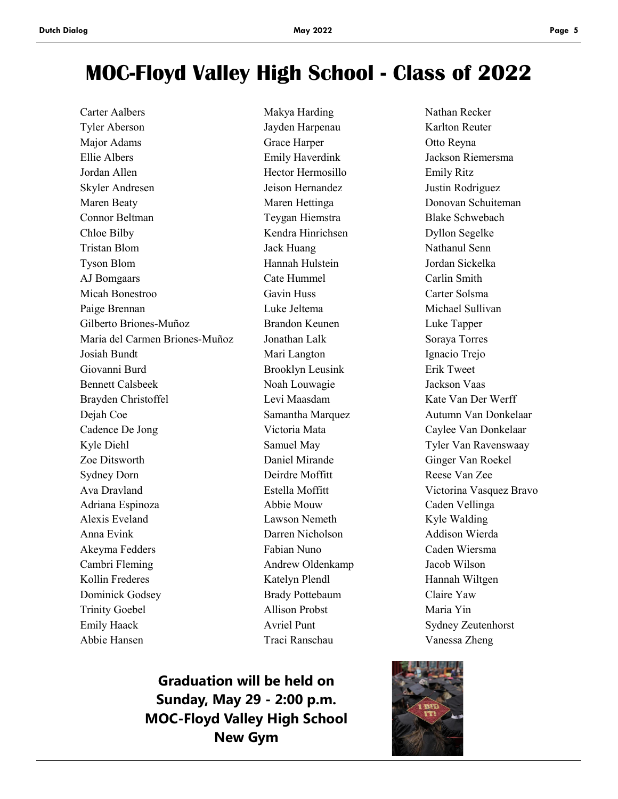# **MOC-Floyd Valley High School - Class of 2022**

Tyler Aberson Jayden Harpenau Karlton Reuter Major Adams Grace Harper Otto Reyna Ellie Albers Emily Haverdink Jackson Riemersma Jordan Allen Hector Hermosillo Emily Ritz Skyler Andresen Jeison Hernandez Justin Rodriguez Maren Beaty **Maren Hettinga** Donovan Schuiteman Connor Beltman Teygan Hiemstra Blake Schwebach Chloe Bilby Kendra Hinrichsen Dyllon Segelke Tristan Blom Jack Huang Nathanul Senn Tyson Blom Hannah Hulstein Jordan Sickelka AJ Bomgaars Cate Hummel Carlin Smith Micah Bonestroo Gavin Huss Carter Solsma Paige Brennan Luke Jeltema Michael Sullivan Gilberto Briones-Muñoz Brandon Keunen Luke Tapper Maria del Carmen Briones-Muñoz Jonathan Lalk Soraya Torres Josiah Bundt Mari Langton Ignacio Trejo Giovanni Burd **Brooklyn Leusink** Erik Tweet Bennett Calsbeek Noah Louwagie Jackson Vaas Brayden Christoffel **Levi Maasdam** Kate Van Der Werff Dejah Coe Samantha Marquez Autumn Van Donkelaar Cadence De Jong Victoria Mata Caylee Van Donkelaar Kyle Diehl Samuel May Samuel May Tyler Van Ravenswaay Zoe Ditsworth Daniel Mirande Ginger Van Roekel Sydney Dorn Deirdre Moffitt Reese Van Zee Ava Dravland **Estella Moffitt** Victorina Vasquez Bravo Adriana Espinoza Abbie Mouw Caden Vellinga Alexis Eveland Lawson Nemeth Kyle Walding Anna Evink Darren Nicholson Addison Wierda Akeyma Fedders Fabian Nuno Caden Wiersma Cambri Fleming Andrew Oldenkamp Jacob Wilson Kollin Frederes **Katelyn Plendl** Hannah Wiltgen Dominick Godsey Brady Pottebaum Claire Yaw Trinity Goebel Allison Probst Maria Yin Emily Haack **Avriel Punt** Sydney Zeutenhorst Abbie Hansen Traci Ranschau Vanessa Zheng

Carter Aalbers **Makya Harding** Nathan Recker

**Graduation will be held on Sunday, May 29 - 2:00 p.m. MOC-Floyd Valley High School New Gym**

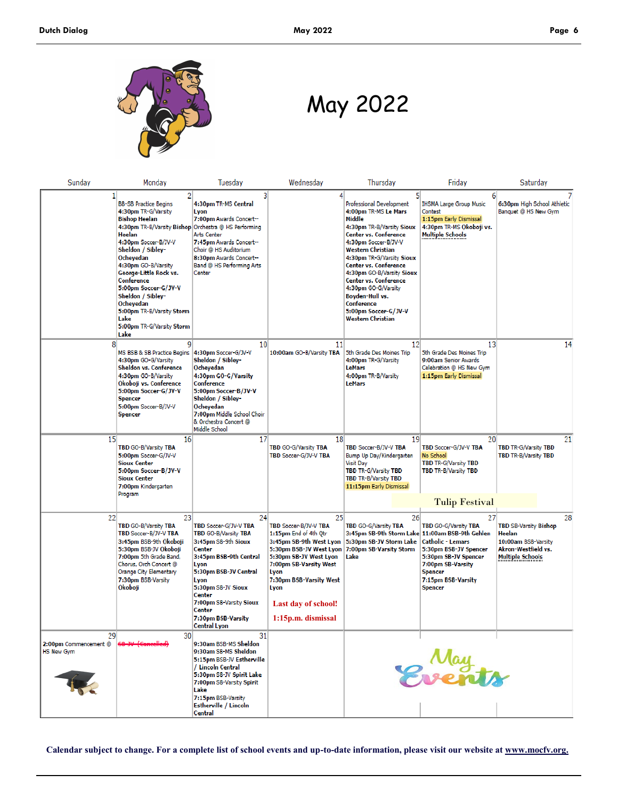

May 2022

| Sunday                                           | Monday                                                                                                                                                                                                                                                                                                                                                                                                     | Tuesday                                                                                                                                                                                                                                                            | Wednesday                                                                                                                                                                                                                                                     | Thursday                                                                                                                                                                                                                                                                                                                                                                                           | Friday                                                                                                                                                                   | Saturday                                                                                                       |
|--------------------------------------------------|------------------------------------------------------------------------------------------------------------------------------------------------------------------------------------------------------------------------------------------------------------------------------------------------------------------------------------------------------------------------------------------------------------|--------------------------------------------------------------------------------------------------------------------------------------------------------------------------------------------------------------------------------------------------------------------|---------------------------------------------------------------------------------------------------------------------------------------------------------------------------------------------------------------------------------------------------------------|----------------------------------------------------------------------------------------------------------------------------------------------------------------------------------------------------------------------------------------------------------------------------------------------------------------------------------------------------------------------------------------------------|--------------------------------------------------------------------------------------------------------------------------------------------------------------------------|----------------------------------------------------------------------------------------------------------------|
|                                                  | <b>BB-SB Practice Begins</b><br>4:30pm TR-G/Varsity<br><b>Bishop Heelan</b><br>4:30pm TR-B/Varsity Bishop Orchestra @ HS Performing<br>Heelan<br>4:30pm Soccer-B/JV-V<br>Sheldon / Sibley-<br>Ocheyedan<br>4:30pm GO-B/Varsity<br>George-Little Rock vs.<br>Conference<br>5:00pm Soccer-G/JV-V<br>Sheldon / Sibley-<br>Ocheyedan<br>5:00pm TR-B/Varsity Storm<br>Lake<br>5:00pm TR-G/Varsity Storm<br>Lake | 3<br>4:30pm TR-MS Central<br>Lyon<br>7:00pm Awards Concert--<br>Arts Center<br>7:45pm Awards Concert--<br>Choir @ HS Auditorium<br>8:30pm Awards Concert--<br>Band @ HS Performing Arts<br>Center                                                                  |                                                                                                                                                                                                                                                               | 51<br>Professional Development<br>4:00pm TR-MS Le Mars<br>Middle<br>4:30pm TR-B/Varsity Sioux<br><b>Center vs. Conference</b><br>4:30pm Soccer-B/JV-V<br><b>Western Christian</b><br>4:30pm TR-G/Varsity Sioux<br>Center vs. Conference<br>4:30pm GO-B/Varsity Sioux<br>Center vs. Conference<br>4:30pm GO-G/Varsity<br>Boyden-Hull vs.<br>Conference<br>5:00pm Soccer-G/JV-V<br>Western Christian | 6<br><b>IHSMA Large Group Music</b><br>Contest<br>1:15pm Early Dismissal<br>4:30pm TR-MS Okoboji vs.<br><b>Multiple Schools</b>                                          | 6:30pm High School Athletic<br>Banquet @ HS New Gym                                                            |
| 81                                               | q<br>MS BSB & SB Practice Begins<br>4:30pm GO-G/Varsity<br>Sheldon vs. Conference<br>4:30pm GO-B/Varsity<br>Okoboji vs. Conference<br>5:00pm Soccer-G/JV-V<br><b>Spencer</b><br>5:00pm Soccer-B/JV-V<br><b>Spencer</b>                                                                                                                                                                                     | 10 <sup>1</sup><br>4:30pm Soccer-G/JV-V<br>Sheldon / Sibley-<br>Ocheyedan<br>4:30pm GO-G/Varsity<br>Conference<br>5:00pm Soccer-B/JV-V<br>Sheldon / Sibley-<br>Ocheyedan<br>7:00pm Middle School Choir<br>& Orchestra Concert @<br>Middle School                   | 11<br>10:00am GO-B/Varsity TBA                                                                                                                                                                                                                                | 12 <sup>1</sup><br>5th Grade Des Moines Trip<br>4:00pm TR-G/Varsity<br>LeMars<br>4:00pm TR-B/Varsity<br>LeMars                                                                                                                                                                                                                                                                                     | 13<br>5th Grade Des Moines Trip<br>9:00am Senior Awards<br>Celebration @ HS New Gym<br>1:15pm Early Dismissal                                                            | 14                                                                                                             |
| 15 <sup>1</sup>                                  | 16 <sup>1</sup><br>TBD GO-B/Varsity TBA<br>5:00pm Soccer-G/JV-V<br><b>Sioux Center</b><br>5:00pm Soccer-B/JV-V<br><b>Sioux Center</b><br>7:00pm Kindergarten<br>Program                                                                                                                                                                                                                                    | 17                                                                                                                                                                                                                                                                 | 18<br>TBD GO-G/Varsity TBA<br>TBD Soccer-G/JV-V TBA                                                                                                                                                                                                           | 19<br>TBD Soccer-B/JV-V TBA<br>Bump Up Day/Kindergarten<br><b>Visit Day</b><br>TBD TR-G/Varsity TBD<br>TBD TR-B/Varsity TBD<br>11:15pm Early Dismissal                                                                                                                                                                                                                                             | 201<br>TBD Soccer-G/JV-V TBA<br>No School<br>TBD TR-G/Varsity TBD<br>TBD TR-B/Varsity TBD<br><b>Tulip Festival</b>                                                       | 21<br>TBD TR-G/Varsity TBD<br>TBD TR-B/Varsity TBD                                                             |
| 22                                               | 23<br>TBD GO-B/Varsity TBA<br>TBD Soccer-B/JV-V TBA<br>3:45pm BSB-9th Okoboji<br>5:30pm BSB-JV Okoboji<br>7:00pm 5th Grade Band,<br>Chorus, Orch Concert @<br>Orange City Elementary<br>7:30pm BSB-Varsity<br>Okoboji                                                                                                                                                                                      | 24<br>TBD Soccer-G/JV-V TBA<br>TBD GO-B/Varsity TBA<br>3:45pm SB-9th Sioux<br>Center<br>3:45pm BSB-9th Central<br>Lyon<br>5:30pm BSB-JV Central<br>Lyon<br>5:30pm SB-JV Sioux<br>Center<br>7:00pm SB-Varsity Sioux<br>Center<br>7:30pm BSB-Varsity<br>Central Lyon | 25<br>TBD Soccer-B/JV-V TBA<br>1:15pm End of 4th Qtr<br>3:45pm SB-9th West Lyon<br>5:30pm BSB-JV West Lyon<br>5:30pm SB-JV West Lyon<br>7:00pm SB-Varsity West<br>Lyon<br>7:30pm BSB-Varsity West<br>Lyon<br><b>Last day of school!</b><br>1:15p.m. dismissal | 26<br>TBD GO-G/Varsity TBA<br>3:45pm SB-9th Storm Lake 11:00am BSB-9th Gehlen<br>5:30pm SB-JV Storm Lake<br>7:00pm SB-Varsity Storm<br>Lake                                                                                                                                                                                                                                                        | 27<br>TBD GO-G/Varsity TBA<br><b>Catholic - Lemars</b><br>5:30pm BSB-JV Spencer<br>5:30pm SB-JV Spencer<br>7:00pm SB-Varsity<br>Spencer<br>7:15pm BSB-Varsity<br>Spencer | 28<br>TBD SB-Varsity Bishop<br>Heelan<br>10:00am BSB-Varsity<br>Akron-Westfield vs.<br><b>Multiple Schools</b> |
| 29<br>2:00pm Commencement @<br><b>HS New Gym</b> | 30 <sup>1</sup>                                                                                                                                                                                                                                                                                                                                                                                            | 31<br>9:30am BSB-MS Sheldon<br>9:30am SB-MS Sheldon<br>5:15pm BSB-JV Estherville<br>/ Lincoln Central<br>5:30pm SB-JV Spirit Lake<br>7:00pm SB-Varsity Spirit<br>Lake<br>7:15pm BSB-Varsity<br><b>Estherville / Lincoln</b><br>Central                             |                                                                                                                                                                                                                                                               |                                                                                                                                                                                                                                                                                                                                                                                                    | <b>May</b><br>Exerts                                                                                                                                                     |                                                                                                                |

**Calendar subject to change. For a complete list of school events and up-to-date information, please visit our website at www.mocfv.org.**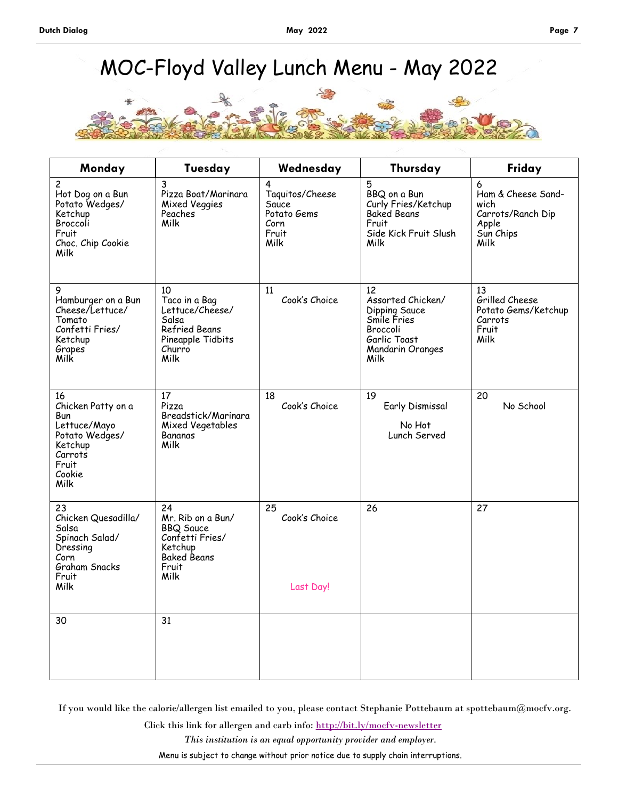# MOC-Floyd Valley Lunch Menu - May 2022



| Monday                                                                                                             | Tuesday                                                                                                          | Wednesday                                                             | Thursday                                                                                                        | Friday                                                                             |
|--------------------------------------------------------------------------------------------------------------------|------------------------------------------------------------------------------------------------------------------|-----------------------------------------------------------------------|-----------------------------------------------------------------------------------------------------------------|------------------------------------------------------------------------------------|
| 2<br>Hot Dog on a Bun<br>Potato Wedges/<br>Ketchup<br>Broccoli<br>Fruit<br>Choc. Chip Cookie<br>Milk               | 3<br>Pizza Boat/Marinara<br><b>Mixed Veggies</b><br>Peaches<br>Milk                                              | 4<br>Taquitos/Cheese<br>Sauce<br>Potato Gems<br>Corn<br>Fruit<br>Milk | 5<br>BBQ on a Bun<br>Curly Fries/Ketchup<br>Baked Beans<br>Fruit<br>Side Kick Fruit Slush<br>Milk               | 6<br>Ham & Cheese Sand-<br>wich<br>Carrots/Ranch Dip<br>Apple<br>Sun Chips<br>Milk |
| 9<br>Hamburger on a Bun<br>Cheese/Lettuce/<br>Tomato<br>Confetti Fries/<br>Ketchup<br>Grapes <sup>'</sup><br>Milk  | 10<br>Taco in a Bag<br>Lettuce/Cheese/<br>Salsa<br>Refried Beans<br>Pineapple Tidbits<br>Churro<br>Milk          | 11<br>Cook's Choice                                                   | 12<br>Assorted Chicken/<br>Dipping Sauce<br>Smile Fries<br>Broccoli<br>Garlic Toast<br>Mandarin Oranges<br>Milk | 13<br>Grilled Cheese<br>Potato Gems/Ketchup<br>Carrots<br>Fruit<br>Milk            |
| 16<br>Chicken Patty on a<br>Bun<br>Lettuce/Mayo<br>Potato Wedges/<br>Ketchup<br>Carrots<br>Fruit<br>Cookie<br>Milk | 17<br>Pizza<br>Breadstick/Marinara<br>Mixed Vegetables<br>Bananas<br>Milk                                        | 18<br>Cook's Choice                                                   | 19<br>Early Dismissal<br>No Hot<br>Lunch Served                                                                 | 20<br>No School                                                                    |
| 23<br>Chicken Quesadilla/<br>Salsa<br>Spinach Salad/<br>Dressing<br>Corn<br>Graham Snacks<br>Fruit<br>Milk         | 24<br>Mr. Rib on a Bun/<br><b>BBQ Sauce</b><br>Confetti Fries/<br>Ketchup<br><b>Baked Beans</b><br>Fruit<br>Milk | 25<br>Cook's Choice<br>Last Day!                                      | 26                                                                                                              | 27                                                                                 |
| 30                                                                                                                 | 31                                                                                                               |                                                                       |                                                                                                                 |                                                                                    |

If you would like the calorie/allergen list emailed to you, please contact Stephanie Pottebaum at spottebaum@mocfv.org.

*This institution is an equal opportunity provider and employer.* Click this link for allergen and carb info: <http://bit.ly/mocfv-newsletter> Menu is subject to change without prior notice due to supply chain interruptions.